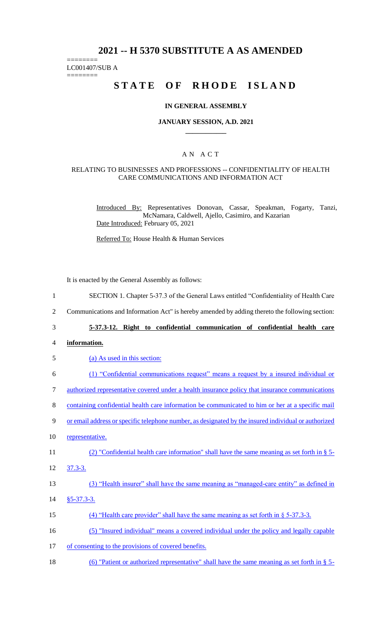# **2021 -- H 5370 SUBSTITUTE A AS AMENDED**

======== LC001407/SUB A

========

# **STATE OF RHODE ISLAND**

#### **IN GENERAL ASSEMBLY**

#### **JANUARY SESSION, A.D. 2021 \_\_\_\_\_\_\_\_\_\_\_\_**

## A N A C T

#### RELATING TO BUSINESSES AND PROFESSIONS -- CONFIDENTIALITY OF HEALTH CARE COMMUNICATIONS AND INFORMATION ACT

Introduced By: Representatives Donovan, Cassar, Speakman, Fogarty, Tanzi, McNamara, Caldwell, Ajello, Casimiro, and Kazarian Date Introduced: February 05, 2021

Referred To: House Health & Human Services

It is enacted by the General Assembly as follows:

- 1 SECTION 1. Chapter 5-37.3 of the General Laws entitled "Confidentiality of Health Care
- 2 Communications and Information Act" is hereby amended by adding thereto the following section:
- 

## 3 **5-37.3-12. Right to confidential communication of confidential health care**

4 **information.**

| 5  | (a) As used in this section:                                                                           |
|----|--------------------------------------------------------------------------------------------------------|
| 6  | (1) "Confidential communications request" means a request by a insured individual or                   |
| 7  | <u>authorized representative covered under a health insurance policy that insurance communications</u> |
| 8  | containing confidential health care information be communicated to him or her at a specific mail       |
| 9  | or email address or specific telephone number, as designated by the insured individual or authorized   |
| 10 | representative.                                                                                        |
| 11 | (2) "Confidential health care information" shall have the same meaning as set forth in $\S$ 5-         |
| 12 | $37.3 - 3.$                                                                                            |
| 13 | (3) "Health insurer" shall have the same meaning as "managed-care entity" as defined in                |
| 14 | $§5 - 37.3 - 3.$                                                                                       |
| 15 | (4) "Health care provider" shall have the same meaning as set forth in $\S$ 5-37.3-3.                  |
| 16 | (5) "Insured individual" means a covered individual under the policy and legally capable               |
| 17 | of consenting to the provisions of covered benefits.                                                   |
| 18 | (6) "Patient or authorized representative" shall have the same meaning as set forth in $\S$ 5-         |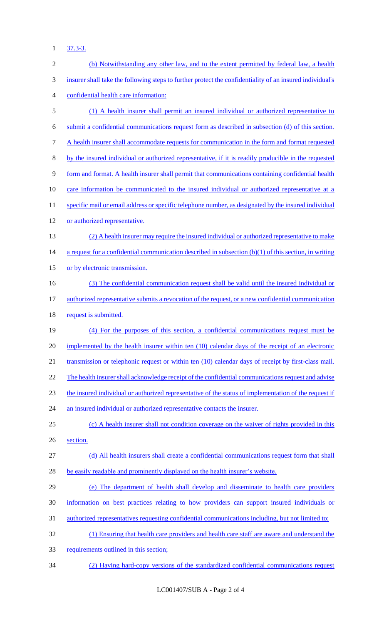1 37.3-3.

| $\sqrt{2}$ | (b) Notwithstanding any other law, and to the extent permitted by federal law, a health                  |
|------------|----------------------------------------------------------------------------------------------------------|
| 3          | insurer shall take the following steps to further protect the confidentiality of an insured individual's |
| 4          | confidential health care information:                                                                    |
| 5          | (1) A health insurer shall permit an insured individual or authorized representative to                  |
| 6          | submit a confidential communications request form as described in subsection (d) of this section.        |
| 7          | A health insurer shall accommodate requests for communication in the form and format requested           |
| $8\,$      | by the insured individual or authorized representative, if it is readily producible in the requested     |
| 9          | form and format. A health insurer shall permit that communications containing confidential health        |
| 10         | care information be communicated to the insured individual or authorized representative at a             |
| 11         | specific mail or email address or specific telephone number, as designated by the insured individual     |
| 12         | or authorized representative.                                                                            |
| 13         | (2) A health insurer may require the insured individual or authorized representative to make             |
| 14         | a request for a confidential communication described in subsection $(b)(1)$ of this section, in writing  |
| 15         | or by electronic transmission.                                                                           |
| 16         | (3) The confidential communication request shall be valid until the insured individual or                |
| 17         | authorized representative submits a revocation of the request, or a new confidential communication       |
| 18         | request is submitted.                                                                                    |
| 19         | (4) For the purposes of this section, a confidential communications request must be                      |
| 20         | implemented by the health insurer within ten (10) calendar days of the receipt of an electronic          |
| 21         | transmission or telephonic request or within ten (10) calendar days of receipt by first-class mail.      |
| 22         | The health insurer shall acknowledge receipt of the confidential communications request and advise       |
| 23         | the insured individual or authorized representative of the status of implementation of the request if    |
| 24         | an insured individual or authorized representative contacts the insurer.                                 |
| 25         | (c) A health insurer shall not condition coverage on the waiver of rights provided in this               |
| 26         | section.                                                                                                 |
| 27         | (d) All health insurers shall create a confidential communications request form that shall               |
| 28         | be easily readable and prominently displayed on the health insurer's website.                            |
| 29         | (e) The department of health shall develop and disseminate to health care providers                      |
| 30         | information on best practices relating to how providers can support insured individuals or               |
| 31         | authorized representatives requesting confidential communications including, but not limited to:         |
| 32         | (1) Ensuring that health care providers and health care staff are aware and understand the               |
| 33         | requirements outlined in this section;                                                                   |
| 34         | (2) Having hard-copy versions of the standardized confidential communications request                    |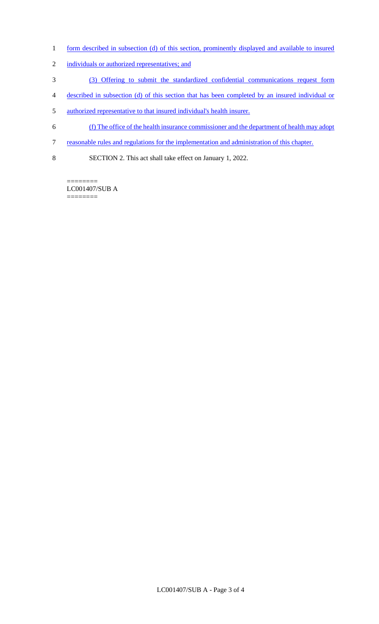- 1 form described in subsection (d) of this section, prominently displayed and available to insured
- 2 individuals or authorized representatives; and
- 3 (3) Offering to submit the standardized confidential communications request form
- 4 described in subsection (d) of this section that has been completed by an insured individual or
- 5 authorized representative to that insured individual's health insurer.
- 6 (f) The office of the health insurance commissioner and the department of health may adopt
- 7 reasonable rules and regulations for the implementation and administration of this chapter.
- 8 SECTION 2. This act shall take effect on January 1, 2022.

======== LC001407/SUB A ========